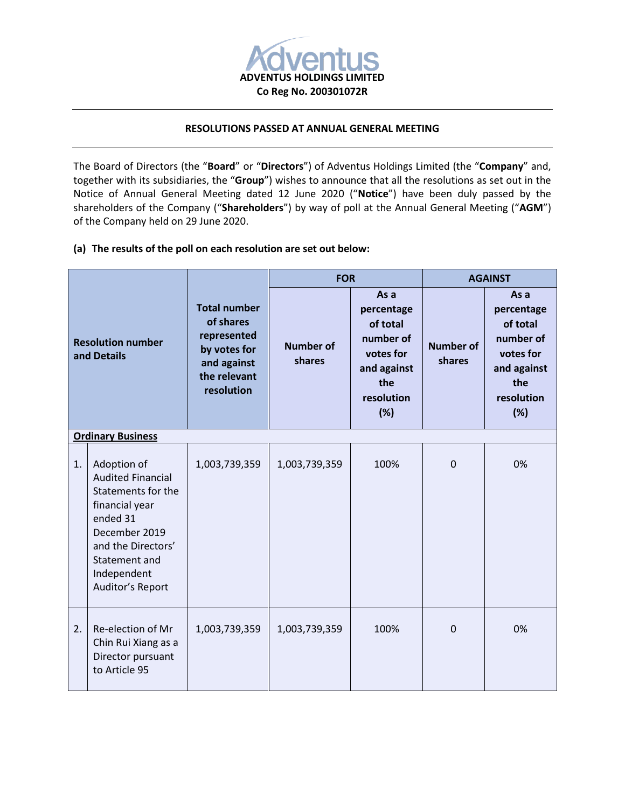

# **RESOLUTIONS PASSED AT ANNUAL GENERAL MEETING**

The Board of Directors (the "**Board**" or "**Directors**") of Adventus Holdings Limited (the "**Company**" and, together with its subsidiaries, the "**Group**") wishes to announce that all the resolutions as set out in the Notice of Annual General Meeting dated 12 June 2020 ("**Notice**") have been duly passed by the shareholders of the Company ("**Shareholders**") by way of poll at the Annual General Meeting ("**AGM**") of the Company held on 29 June 2020.

## **(a) The results of the poll on each resolution are set out below:**

| <b>Resolution number</b><br>and Details |                                                                                                                                                                                        | <b>Total number</b><br>of shares<br>represented<br>by votes for<br>and against<br>the relevant<br>resolution | <b>FOR</b>          |                                                                                                     | <b>AGAINST</b>             |                                                                                                     |
|-----------------------------------------|----------------------------------------------------------------------------------------------------------------------------------------------------------------------------------------|--------------------------------------------------------------------------------------------------------------|---------------------|-----------------------------------------------------------------------------------------------------|----------------------------|-----------------------------------------------------------------------------------------------------|
|                                         |                                                                                                                                                                                        |                                                                                                              | Number of<br>shares | As a<br>percentage<br>of total<br>number of<br>votes for<br>and against<br>the<br>resolution<br>(%) | <b>Number of</b><br>shares | As a<br>percentage<br>of total<br>number of<br>votes for<br>and against<br>the<br>resolution<br>(%) |
| <b>Ordinary Business</b>                |                                                                                                                                                                                        |                                                                                                              |                     |                                                                                                     |                            |                                                                                                     |
| 1.                                      | Adoption of<br><b>Audited Financial</b><br>Statements for the<br>financial year<br>ended 31<br>December 2019<br>and the Directors'<br>Statement and<br>Independent<br>Auditor's Report | 1,003,739,359                                                                                                | 1,003,739,359       | 100%                                                                                                | $\Omega$                   | 0%                                                                                                  |
| 2.                                      | Re-election of Mr<br>Chin Rui Xiang as a<br>Director pursuant<br>to Article 95                                                                                                         | 1,003,739,359                                                                                                | 1,003,739,359       | 100%                                                                                                | $\mathbf 0$                | 0%                                                                                                  |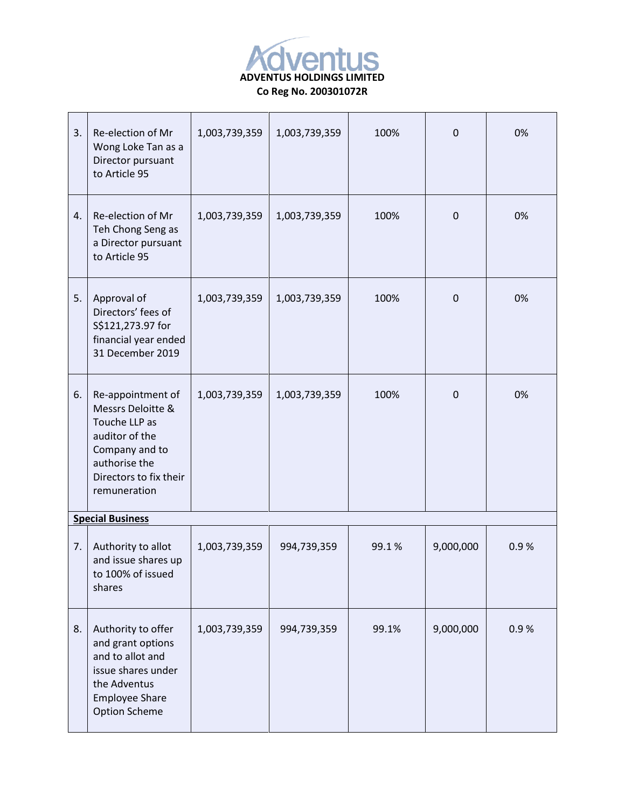

| 3.                      | Re-election of Mr<br>Wong Loke Tan as a<br>Director pursuant<br>to Article 95                                                                          | 1,003,739,359 | 1,003,739,359 | 100%  | $\Omega$    | 0%   |
|-------------------------|--------------------------------------------------------------------------------------------------------------------------------------------------------|---------------|---------------|-------|-------------|------|
| 4.                      | Re-election of Mr<br>Teh Chong Seng as<br>a Director pursuant<br>to Article 95                                                                         | 1,003,739,359 | 1,003,739,359 | 100%  | $\mathbf 0$ | 0%   |
| 5.                      | Approval of<br>Directors' fees of<br>S\$121,273.97 for<br>financial year ended<br>31 December 2019                                                     | 1,003,739,359 | 1,003,739,359 | 100%  | $\mathbf 0$ | 0%   |
| 6.                      | Re-appointment of<br>Messrs Deloitte &<br>Touche LLP as<br>auditor of the<br>Company and to<br>authorise the<br>Directors to fix their<br>remuneration | 1,003,739,359 | 1,003,739,359 | 100%  | $\mathbf 0$ | 0%   |
| <b>Special Business</b> |                                                                                                                                                        |               |               |       |             |      |
| 7.                      | Authority to allot<br>and issue shares up<br>to 100% of issued<br>shares                                                                               | 1,003,739,359 | 994,739,359   | 99.1% | 9,000,000   | 0.9% |
| 8.                      | Authority to offer<br>and grant options<br>and to allot and<br>issue shares under<br>the Adventus<br><b>Employee Share</b><br><b>Option Scheme</b>     | 1,003,739,359 | 994,739,359   | 99.1% | 9,000,000   | 0.9% |